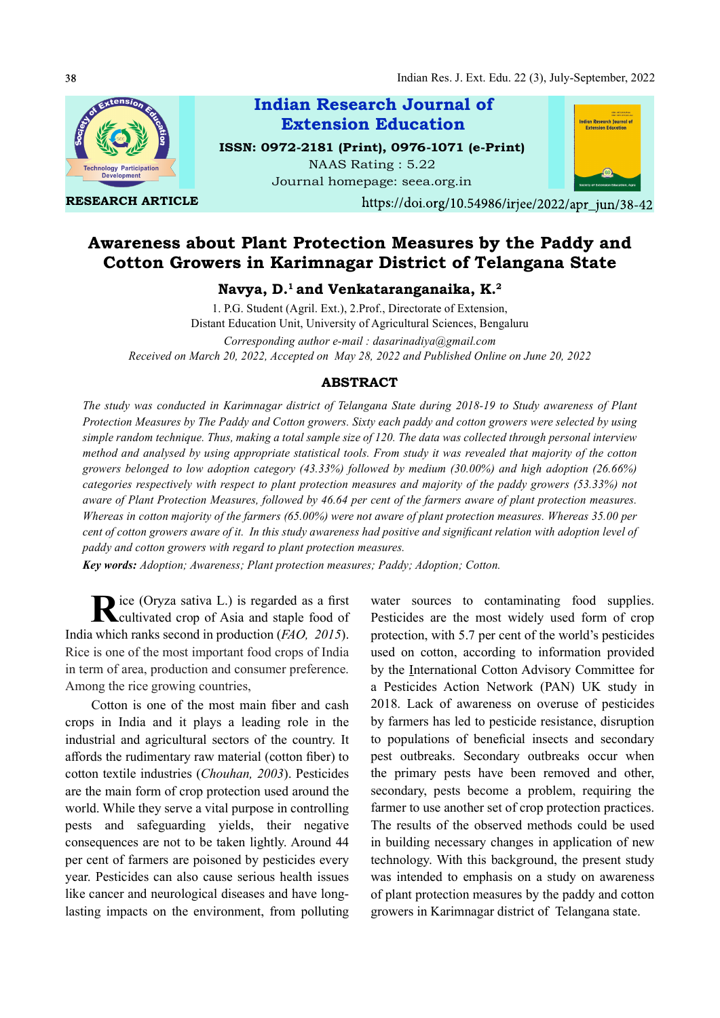

RESEARCH ARTICLE

Indian Research Journal of ISSN: 0972-2181 (Print), 0976-1071 (e-Print) Extension Education

NAAS Rating : 5.22 Journal homepage: seea.org.in



https://doi.org/10.54986/irjee/2022/apr\_jun/38-42

# Awareness about Plant Protection Measures by the Paddy and Cotton Growers in Karimnagar District of Telangana State

# Navya, D.<sup>1</sup> and Venkataranganaika, K.<sup>2</sup>

1. P.G. Student (Agril. Ext.), 2.Prof., Directorate of Extension, Distant Education Unit, University of Agricultural Sciences, Bengaluru Corresponding author e-mail : dasarinadiya@gmail.com Received on March 20, 2022, Accepted on May 28, 2022 and Published Online on June 20, 2022

## ABSTRACT

The study was conducted in Karimnagar district of Telangana State during 2018-19 to Study awareness of Plant Protection Measures by The Paddy and Cotton growers. Sixty each paddy and cotton growers were selected by using simple random technique. Thus, making a total sample size of 120. The data was collected through personal interview method and analysed by using appropriate statistical tools. From study it was revealed that majority of the cotton growers belonged to low adoption category (43.33%) followed by medium (30.00%) and high adoption (26.66%) categories respectively with respect to plant protection measures and majority of the paddy growers (53.33%) not aware of Plant Protection Measures, followed by 46.64 per cent of the farmers aware of plant protection measures. Whereas in cotton majority of the farmers (65.00%) were not aware of plant protection measures. Whereas 35.00 per cent of cotton growers aware of it. In this study awareness had positive and significant relation with adoption level of paddy and cotton growers with regard to plant protection measures.

Key words: Adoption; Awareness; Plant protection measures; Paddy; Adoption; Cotton.

Rice (Oryza sativa L.) is regarded as a first<br>Cultivated crop of Asia and staple food of cultivated crop of Asia and staple food of India which ranks second in production (FAO, 2015). Rice is one of the most important food crops of India in term of area, production and consumer preference. Among the rice growing countries,

Cotton is one of the most main fiber and cash crops in India and it plays a leading role in the industrial and agricultural sectors of the country. It affords the rudimentary raw material (cotton fiber) to cotton textile industries (Chouhan, 2003). Pesticides are the main form of crop protection used around the world. While they serve a vital purpose in controlling pests and safeguarding yields, their negative consequences are not to be taken lightly. Around 44 per cent of farmers are poisoned by pesticides every year. Pesticides can also cause serious health issues like cancer and neurological diseases and have longlasting impacts on the environment, from polluting

water sources to contaminating food supplies. Pesticides are the most widely used form of crop protection, with 5.7 per cent of the world's pesticides used on cotton, according to information provided by the International Cotton Advisory Committee for a Pesticides Action Network (PAN) UK study in 2018. Lack of awareness on overuse of pesticides by farmers has led to pesticide resistance, disruption to populations of beneficial insects and secondary pest outbreaks. Secondary outbreaks occur when the primary pests have been removed and other, secondary, pests become a problem, requiring the farmer to use another set of crop protection practices. The results of the observed methods could be used in building necessary changes in application of new technology. With this background, the present study was intended to emphasis on a study on awareness of plant protection measures by the paddy and cotton growers in Karimnagar district of Telangana state.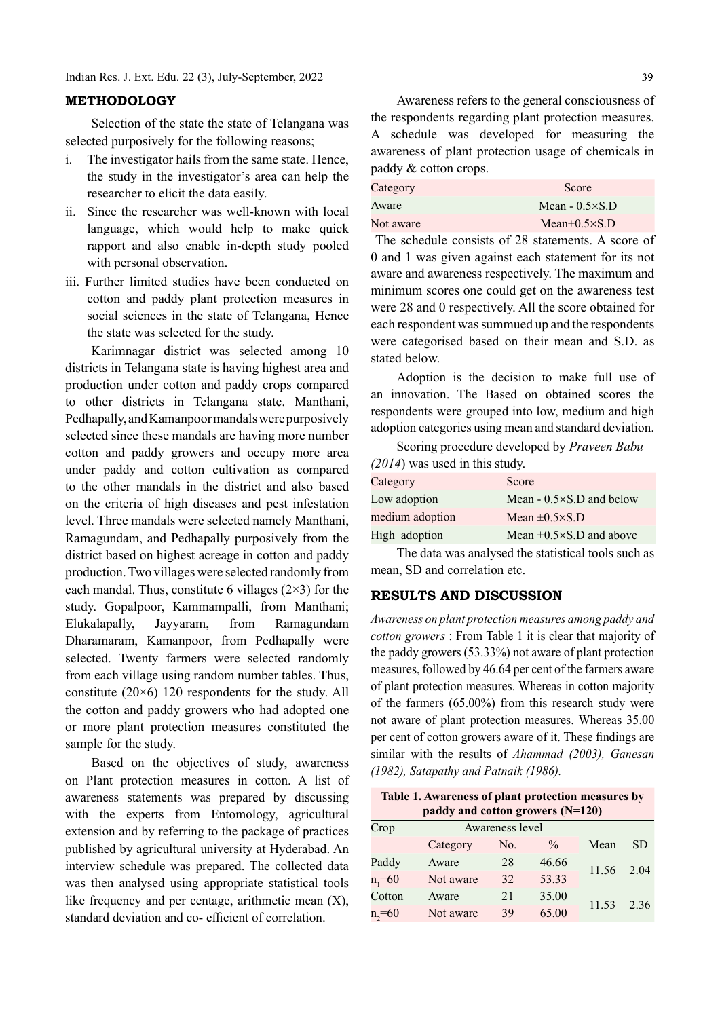#### METHODOLOGY

Selection of the state the state of Telangana was selected purposively for the following reasons;

- i. The investigator hails from the same state. Hence, the study in the investigator's area can help the researcher to elicit the data easily.
- ii. Since the researcher was well-known with local language, which would help to make quick rapport and also enable in-depth study pooled with personal observation.
- iii. Further limited studies have been conducted on cotton and paddy plant protection measures in social sciences in the state of Telangana, Hence the state was selected for the study.

Karimnagar district was selected among 10 districts in Telangana state is having highest area and production under cotton and paddy crops compared to other districts in Telangana state. Manthani, Pedhapally, and Kamanpoor mandals were purposively selected since these mandals are having more number cotton and paddy growers and occupy more area under paddy and cotton cultivation as compared to the other mandals in the district and also based on the criteria of high diseases and pest infestation level. Three mandals were selected namely Manthani, Ramagundam, and Pedhapally purposively from the district based on highest acreage in cotton and paddy production. Two villages were selected randomly from each mandal. Thus, constitute 6 villages  $(2\times3)$  for the study. Gopalpoor, Kammampalli, from Manthani; Elukalapally, Jayyaram, from Ramagundam Dharamaram, Kamanpoor, from Pedhapally were selected. Twenty farmers were selected randomly from each village using random number tables. Thus, constitute (20×6) 120 respondents for the study. All the cotton and paddy growers who had adopted one or more plant protection measures constituted the sample for the study.

Based on the objectives of study, awareness on Plant protection measures in cotton. A list of awareness statements was prepared by discussing with the experts from Entomology, agricultural extension and by referring to the package of practices published by agricultural university at Hyderabad. An interview schedule was prepared. The collected data was then analysed using appropriate statistical tools like frequency and per centage, arithmetic mean  $(X)$ , standard deviation and co- efficient of correlation.

Awareness refers to the general consciousness of the respondents regarding plant protection measures. A schedule was developed for measuring the awareness of plant protection usage of chemicals in paddy & cotton crops.

| Category  | Score                  |
|-----------|------------------------|
| Aware     | Mean $-0.5 \times S.D$ |
| Not aware | Mean $+0.5 \times S.D$ |

 The schedule consists of 28 statements. A score of 0 and 1 was given against each statement for its not aware and awareness respectively. The maximum and minimum scores one could get on the awareness test were 28 and 0 respectively. All the score obtained for each respondent was summued up and the respondents were categorised based on their mean and S.D. as stated below.

Adoption is the decision to make full use of an innovation. The Based on obtained scores the respondents were grouped into low, medium and high adoption categories using mean and standard deviation.

Scoring procedure developed by *Praveen Babu* (2014) was used in this study.

| Score                              |
|------------------------------------|
| Mean $-0.5 \times S$ . D and below |
| Mean $\pm 0.5 \times S.D$          |
| Mean $+0.5\times$ S.D and above    |
|                                    |

The data was analysed the statistical tools such as mean, SD and correlation etc.

## RESULTS AND DISCUSSION

Awareness on plant protection measures among paddy and cotton growers : From Table 1 it is clear that majority of the paddy growers (53.33%) not aware of plant protection measures, followed by 46.64 per cent of the farmers aware of plant protection measures. Whereas in cotton majority of the farmers (65.00%) from this research study were not aware of plant protection measures. Whereas 35.00 per cent of cotton growers aware of it. These findings are similar with the results of Ahammad (2003), Ganesan (1982), Satapathy and Patnaik (1986).

Table 1. Awareness of plant protection measures by paddy and cotton growers (N=120)

| Crop         |           | Awareness level |               |       |      |  |
|--------------|-----------|-----------------|---------------|-------|------|--|
|              | Category  | No.             | $\frac{0}{0}$ | Mean  | SD   |  |
| Paddy        | Aware     | 28              | 46.66         |       | 2.04 |  |
| $n_{1} = 60$ | Not aware | 32              | 53.33         | 11.56 |      |  |
| Cotton       | Aware     | 21              | 35.00         |       | 2.36 |  |
| $n_{2} = 60$ | Not aware | 39              | 65.00         | 11.53 |      |  |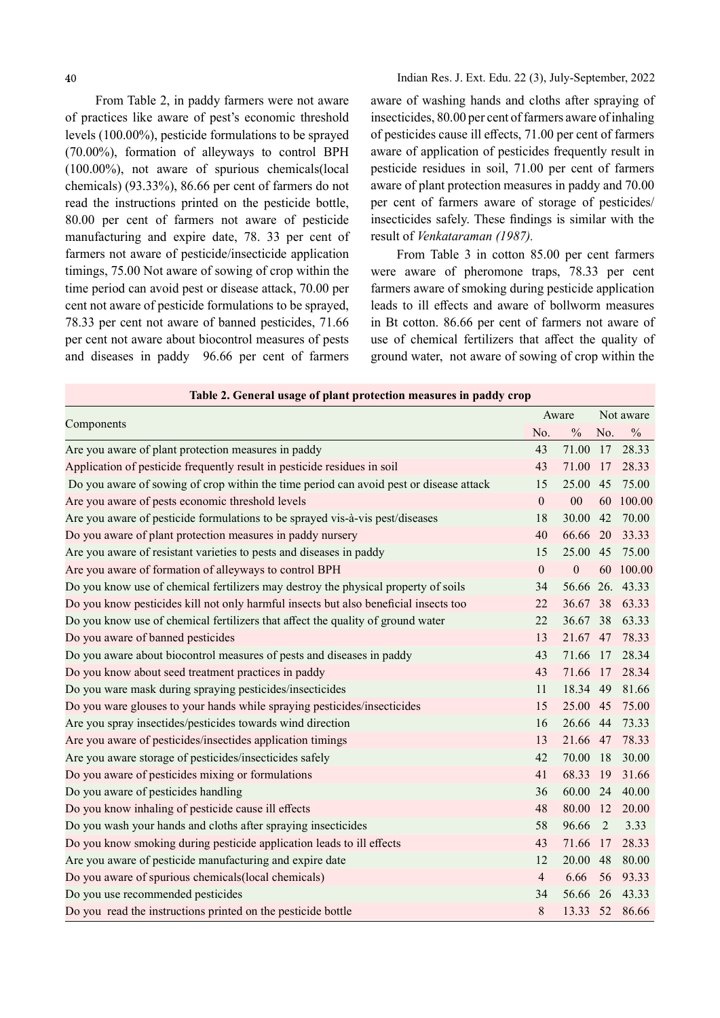From Table 2, in paddy farmers were not aware of practices like aware of pest's economic threshold levels (100.00%), pesticide formulations to be sprayed (70.00%), formation of alleyways to control BPH (100.00%), not aware of spurious chemicals(local chemicals) (93.33%), 86.66 per cent of farmers do not read the instructions printed on the pesticide bottle, 80.00 per cent of farmers not aware of pesticide manufacturing and expire date, 78. 33 per cent of farmers not aware of pesticide/insecticide application timings, 75.00 Not aware of sowing of crop within the time period can avoid pest or disease attack, 70.00 per cent not aware of pesticide formulations to be sprayed, 78.33 per cent not aware of banned pesticides, 71.66 per cent not aware about biocontrol measures of pests and diseases in paddy 96.66 per cent of farmers

aware of washing hands and cloths after spraying of insecticides, 80.00 per cent of farmers aware of inhaling of pesticides cause ill effects, 71.00 per cent of farmers aware of application of pesticides frequently result in pesticide residues in soil, 71.00 per cent of farmers aware of plant protection measures in paddy and 70.00 per cent of farmers aware of storage of pesticides/ insecticides safely. These findings is similar with the result of Venkataraman (1987).

From Table 3 in cotton 85.00 per cent farmers were aware of pheromone traps, 78.33 per cent farmers aware of smoking during pesticide application leads to ill effects and aware of bollworm measures in Bt cotton. 86.66 per cent of farmers not aware of use of chemical fertilizers that affect the quality of ground water, not aware of sowing of crop within the

| Table 2. General usage of plant protection measures in paddy crop                      |                |               |           |                 |  |
|----------------------------------------------------------------------------------------|----------------|---------------|-----------|-----------------|--|
|                                                                                        |                |               | Not aware |                 |  |
| Components<br>No.                                                                      |                | $\frac{0}{0}$ | No.       | $\frac{0}{0}$   |  |
| Are you aware of plant protection measures in paddy                                    | 43             | 71.00         |           | 17 28.33        |  |
| Application of pesticide frequently result in pesticide residues in soil               | 43             | 71.00         | 17        | 28.33           |  |
| Do you aware of sowing of crop within the time period can avoid pest or disease attack | 15             | 25.00         | 45        | 75.00           |  |
| Are you aware of pests economic threshold levels                                       | $\mathbf{0}$   | 00            |           | 60 100.00       |  |
| Are you aware of pesticide formulations to be sprayed vis-à-vis pest/diseases          | 18             | 30.00         | 42        | 70.00           |  |
| Do you aware of plant protection measures in paddy nursery                             | 40             | 66.66         | 20        | 33.33           |  |
| Are you aware of resistant varieties to pests and diseases in paddy                    | 15             | 25.00         | 45        | 75.00           |  |
| Are you aware of formation of alleyways to control BPH                                 | $\mathbf{0}$   | $\mathbf{0}$  |           | 60 100.00       |  |
| Do you know use of chemical fertilizers may destroy the physical property of soils     | 34             |               |           | 56.66 26. 43.33 |  |
| Do you know pesticides kill not only harmful insects but also beneficial insects too   | 22             | 36.67         | 38        | 63.33           |  |
| Do you know use of chemical fertilizers that affect the quality of ground water        | 22             | 36.67 38      |           | 63.33           |  |
| Do you aware of banned pesticides                                                      | 13             | 21.67 47      |           | 78.33           |  |
| Do you aware about biocontrol measures of pests and diseases in paddy                  | 43             | 71.66         | 17        | 28.34           |  |
| Do you know about seed treatment practices in paddy                                    | 43             | 71.66 17      |           | 28.34           |  |
| Do you ware mask during spraying pesticides/insecticides                               | 11             | 18.34 49      |           | 81.66           |  |
| Do you ware glouses to your hands while spraying pesticides/insecticides               | 15             | 25.00 45      |           | 75.00           |  |
| Are you spray insectides/pesticides towards wind direction                             | 16             |               |           | 26.66 44 73.33  |  |
| Are you aware of pesticides/insectides application timings                             | 13             | 21.66 47      |           | 78.33           |  |
| Are you aware storage of pesticides/insecticides safely                                | 42             | 70.00         | 18        | 30.00           |  |
| Do you aware of pesticides mixing or formulations                                      | 41             | 68.33         | 19        | 31.66           |  |
| Do you aware of pesticides handling                                                    | 36             | 60.00 24      |           | 40.00           |  |
| Do you know inhaling of pesticide cause ill effects                                    | 48             |               |           | 80.00 12 20.00  |  |
| Do you wash your hands and cloths after spraying insecticides                          | 58             | 96.66         | 2         | 3.33            |  |
| Do you know smoking during pesticide application leads to ill effects                  | 43             | 71.66         | 17        | 28.33           |  |
| Are you aware of pesticide manufacturing and expire date                               | 12             | 20.00         | 48        | 80.00           |  |
| Do you aware of spurious chemicals (local chemicals)                                   | $\overline{4}$ | 6.66          |           | 56 93.33        |  |
| Do you use recommended pesticides                                                      | 34             |               |           | 56.66 26 43.33  |  |
| Do you read the instructions printed on the pesticide bottle                           | 8              | 13.33         |           | 52 86.66        |  |

#### Table 2. General usage of plant protection measures in paddy crop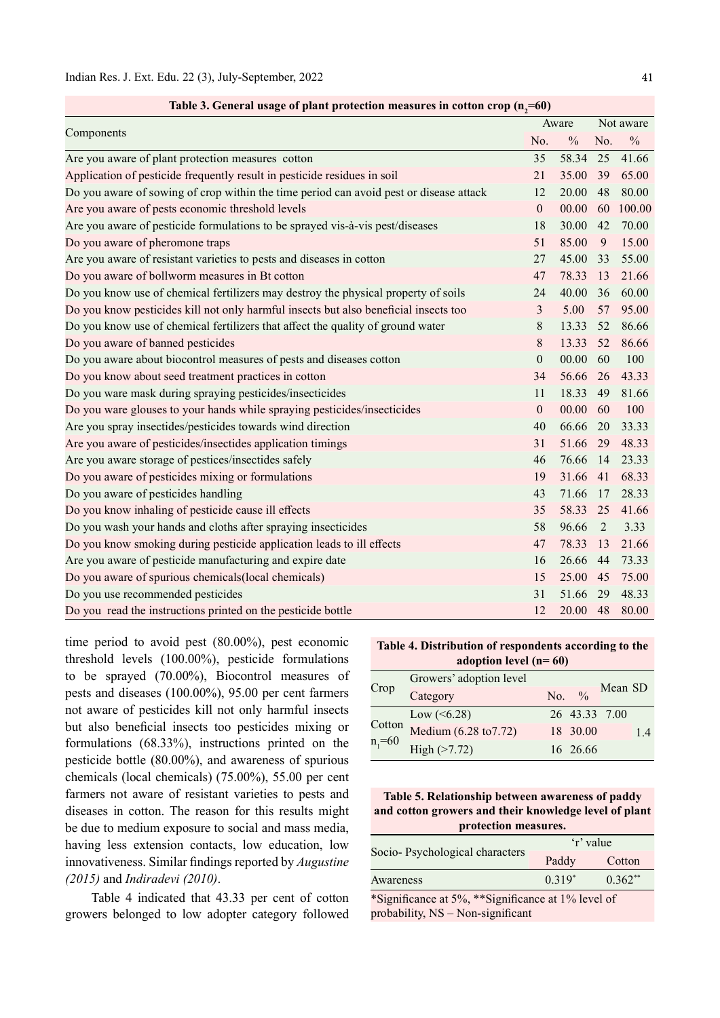|                                                                                        |                  | Aware         |     | Not aware     |  |
|----------------------------------------------------------------------------------------|------------------|---------------|-----|---------------|--|
| Components                                                                             | No.              | $\frac{0}{0}$ | No. | $\frac{0}{0}$ |  |
| Are you aware of plant protection measures cotton                                      | 35               | 58.34         | 25  | 41.66         |  |
| Application of pesticide frequently result in pesticide residues in soil               | 21               | 35.00         | 39  | 65.00         |  |
| Do you aware of sowing of crop within the time period can avoid pest or disease attack | 12               | 20.00         | 48  | 80.00         |  |
| Are you aware of pests economic threshold levels                                       | $\boldsymbol{0}$ | 00.00         | 60  | 100.00        |  |
| Are you aware of pesticide formulations to be sprayed vis-à-vis pest/diseases          | 18               | 30.00         | 42  | 70.00         |  |
| Do you aware of pheromone traps                                                        | 51               | 85.00         | 9   | 15.00         |  |
| Are you aware of resistant varieties to pests and diseases in cotton                   | 27               | 45.00         | 33  | 55.00         |  |
| Do you aware of bollworm measures in Bt cotton                                         | 47               | 78.33         | 13  | 21.66         |  |
| Do you know use of chemical fertilizers may destroy the physical property of soils     | 24               | 40.00         | 36  | 60.00         |  |
| Do you know pesticides kill not only harmful insects but also beneficial insects too   | 3                | 5.00          | 57  | 95.00         |  |
| Do you know use of chemical fertilizers that affect the quality of ground water        | $8\,$            | 13.33         | 52  | 86.66         |  |
| Do you aware of banned pesticides                                                      | 8                | 13.33         | 52  | 86.66         |  |
| Do you aware about biocontrol measures of pests and diseases cotton                    | $\boldsymbol{0}$ | 00.00         | 60  | 100           |  |
| Do you know about seed treatment practices in cotton                                   | 34               | 56.66         | 26  | 43.33         |  |
| Do you ware mask during spraying pesticides/insecticides                               | 11               | 18.33         | 49  | 81.66         |  |
| Do you ware glouses to your hands while spraying pesticides/insecticides               | $\boldsymbol{0}$ | 00.00         | 60  | 100           |  |
| Are you spray insectides/pesticides towards wind direction                             | 40               | 66.66         | 20  | 33.33         |  |
| Are you aware of pesticides/insectides application timings                             | 31               | 51.66         | 29  | 48.33         |  |
| Are you aware storage of pestices/insectides safely                                    | 46               | 76.66         | 14  | 23.33         |  |
| Do you aware of pesticides mixing or formulations                                      | 19               | 31.66         | 41  | 68.33         |  |
| Do you aware of pesticides handling                                                    | 43               | 71.66         | 17  | 28.33         |  |
| Do you know inhaling of pesticide cause ill effects                                    | 35               | 58.33         | 25  | 41.66         |  |
| Do you wash your hands and cloths after spraying insecticides                          | 58               | 96.66         | 2   | 3.33          |  |
| Do you know smoking during pesticide application leads to ill effects                  | 47               | 78.33         | 13  | 21.66         |  |
| Are you aware of pesticide manufacturing and expire date                               | 16               | 26.66         | 44  | 73.33         |  |
| Do you aware of spurious chemicals(local chemicals)                                    | 15               | 25.00         | 45  | 75.00         |  |
| Do you use recommended pesticides                                                      | 31               | 51.66         | 29  | 48.33         |  |
| Do you read the instructions printed on the pesticide bottle                           | 12               | 20.00         | 48  | 80.00         |  |

Table 3. General usage of plant protection measures in cotton crop  $(n=60)$ 

time period to avoid pest (80.00%), pest economic threshold levels (100.00%), pesticide formulations to be sprayed (70.00%), Biocontrol measures of pests and diseases (100.00%), 95.00 per cent farmers not aware of pesticides kill not only harmful insects but also beneficial insects too pesticides mixing or formulations (68.33%), instructions printed on the pesticide bottle (80.00%), and awareness of spurious chemicals (local chemicals) (75.00%), 55.00 per cent farmers not aware of resistant varieties to pests and diseases in cotton. The reason for this results might be due to medium exposure to social and mass media, having less extension contacts, low education, low innovativeness. Similar findings reported by Augustine (2015) and Indiradevi (2010).

Table 4 indicated that 43.33 per cent of cotton growers belonged to low adopter category followed

Table 4. Distribution of respondents according to the adoption level (n= 60)

|                              | Growers' adoption level          |                   |         |    |
|------------------------------|----------------------------------|-------------------|---------|----|
| Crop                         | Category                         | No. $\frac{9}{6}$ | Mean SD |    |
|                              | Low $(<6.28)$                    | 26 43.33 7.00     |         |    |
| Cotton<br>n <sub>1</sub> =60 | Medium $(6.28 \text{ to } 7.72)$ | 18 30.00          |         | 14 |
|                              | High ( > 7.72)                   | 16 26.66          |         |    |

Table 5. Relationship between awareness of paddy and cotton growers and their knowledge level of plant protection measures.

|                                                         | 'r' value       |           |  |  |
|---------------------------------------------------------|-----------------|-----------|--|--|
| Socio-Psychological characters                          | Paddy           | Cotton    |  |  |
| Awareness                                               | $0.319*$        | $0.362**$ |  |  |
| $\cdots$<br>$\mathbf{r} = \mathbf{r} \times \mathbf{r}$ | $\sim$ 40/1 1 0 |           |  |  |

\*Significance at 5%, \*\*Significance at 1% level of probability, NS - Non-significant